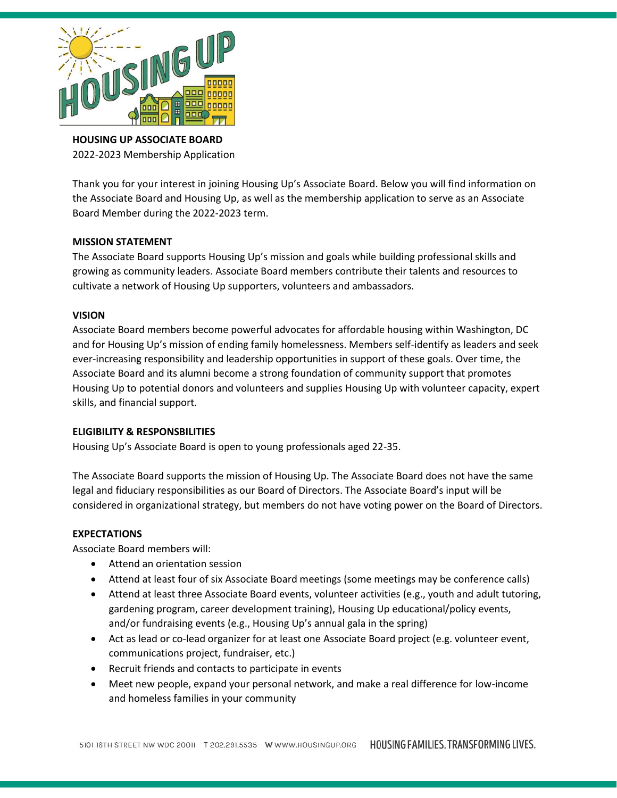

**HOUSING UP ASSOCIATE BOARD**  2022-2023 Membership Application

Thank you for your interest in joining Housing Up's Associate Board. Below you will find information on the Associate Board and Housing Up, as well as the membership application to serve as an Associate Board Member during the 2022-2023 term.

## **MISSION STATEMENT**

The Associate Board supports Housing Up's mission and goals while building professional skills and growing as community leaders. Associate Board members contribute their talents and resources to cultivate a network of Housing Up supporters, volunteers and ambassadors.

## **VISION**

Associate Board members become powerful advocates for affordable housing within Washington, DC and for Housing Up's mission of ending family homelessness. Members self-identify as leaders and seek ever-increasing responsibility and leadership opportunities in support of these goals. Over time, the Associate Board and its alumni become a strong foundation of community support that promotes Housing Up to potential donors and volunteers and supplies Housing Up with volunteer capacity, expert skills, and financial support.

## **ELIGIBILITY & RESPONSBILITIES**

Housing Up's Associate Board is open to young professionals aged 22-35.

The Associate Board supports the mission of Housing Up. The Associate Board does not have the same legal and fiduciary responsibilities as our Board of Directors. The Associate Board's input will be considered in organizational strategy, but members do not have voting power on the Board of Directors.

#### **EXPECTATIONS**

Associate Board members will:

- Attend an orientation session
- Attend at least four of six Associate Board meetings (some meetings may be conference calls)
- Attend at least three Associate Board events, volunteer activities (e.g., youth and adult tutoring, gardening program, career development training), Housing Up educational/policy events, and/or fundraising events (e.g., Housing Up's annual gala in the spring)
- Act as lead or co-lead organizer for at least one Associate Board project (e.g. volunteer event, communications project, fundraiser, etc.)
- Recruit friends and contacts to participate in events
- Meet new people, expand your personal network, and make a real difference for low-income and homeless families in your community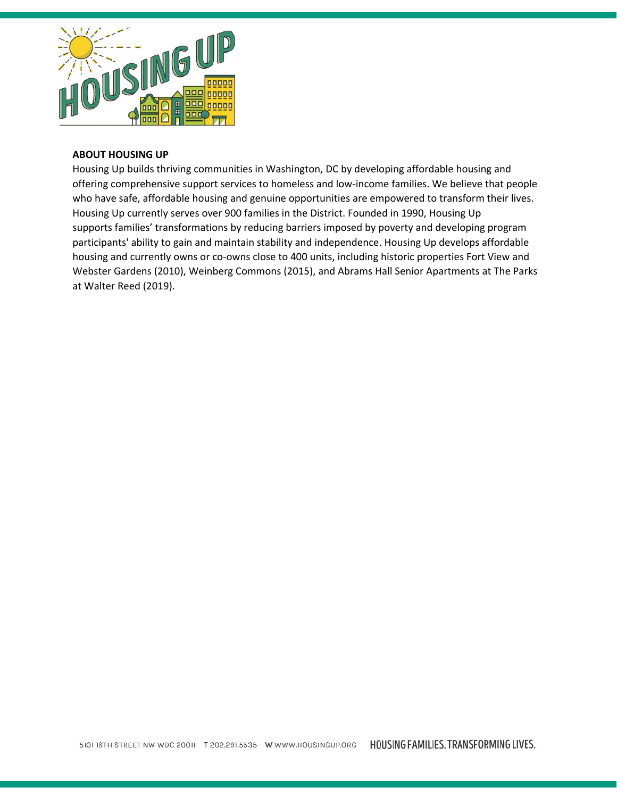

### **ABOUT HOUSING UP**

Housing Up builds thriving communities in Washington, DC by developing affordable housing and offering comprehensive support services to homeless and low-income families. We believe that people who have safe, affordable housing and genuine opportunities are empowered to transform their lives. Housing Up currently serves over 900 families in the District. Founded in 1990, Housing Up supports families' transformations by reducing barriers imposed by poverty and developing program participants' ability to gain and maintain stability and independence. Housing Up develops affordable housing and currently owns or co-owns close to 400 units, including historic properties Fort View and Webster Gardens (2010), Weinberg Commons (2015), and Abrams Hall Senior Apartments at The Parks at Walter Reed (2019).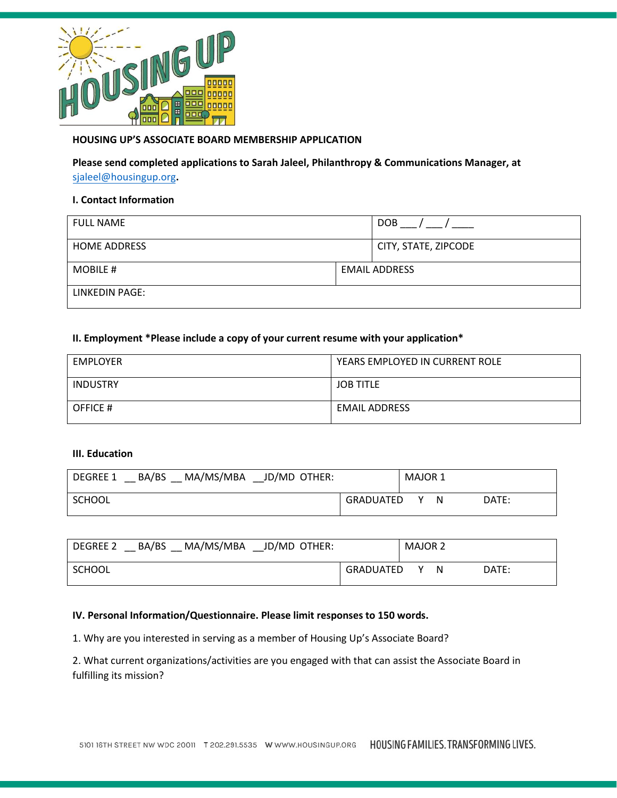

# **HOUSING UP'S ASSOCIATE BOARD MEMBERSHIP APPLICATION**

**Please send completed applications to Sarah Jaleel, Philanthropy & Communications Manager, at**  [sjaleel@housingup.org](mailto:cpeay@housingup.org)**.** 

### **I. Contact Information**

| <b>FULL NAME</b>    |                      | <b>DOB</b>           |
|---------------------|----------------------|----------------------|
| <b>HOME ADDRESS</b> |                      | CITY, STATE, ZIPCODE |
| MOBILE #            | <b>EMAIL ADDRESS</b> |                      |
| LINKEDIN PAGE:      |                      |                      |

### **II. Employment \*Please include a copy of your current resume with your application\***

| EMPLOYER        | YEARS EMPLOYED IN CURRENT ROLE |  |  |
|-----------------|--------------------------------|--|--|
| <b>INDUSTRY</b> | <b>JOB TITLE</b>               |  |  |
| OFFICE #        | <b>EMAIL ADDRESS</b>           |  |  |

### **III. Education**

| MA/MS/MBA JD/MD OTHER:<br>BA/BS<br><b>DEGREE 1</b> |           | MAJOR 1 |   |       |
|----------------------------------------------------|-----------|---------|---|-------|
| SCHOOL                                             | GRADUATED | v.      | N | DATE: |

| MA/MS/MBA<br>BA/BS<br>JD/MD OTHER:<br>DEGREE 2 | <b>MAJOR 2</b> |       |
|------------------------------------------------|----------------|-------|
| SCHOOL                                         | GRADUATED<br>N | DATE: |

### **IV. Personal Information/Questionnaire. Please limit responses to 150 words.**

1. Why are you interested in serving as a member of Housing Up's Associate Board?

2. What current organizations/activities are you engaged with that can assist the Associate Board in fulfilling its mission?